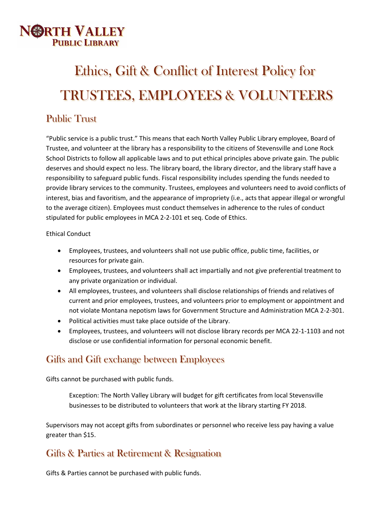

# Ethics, Gift & Conflict of Interest Policy for TRUSTEES, EMPLOYEES & VOLUNTEERS

## Public Trust

"Public service is a public trust." This means that each North Valley Public Library employee, Board of Trustee, and volunteer at the library has a responsibility to the citizens of Stevensville and Lone Rock School Districts to follow all applicable laws and to put ethical principles above private gain. The public deserves and should expect no less. The library board, the library director, and the library staff have a responsibility to safeguard public funds. Fiscal responsibility includes spending the funds needed to provide library services to the community. Trustees, employees and volunteers need to avoid conflicts of interest, bias and favoritism, and the appearance of impropriety (i.e., acts that appear illegal or wrongful to the average citizen). Employees must conduct themselves in adherence to the rules of conduct stipulated for public employees in MCA 2-2-101 et seq. Code of Ethics.

#### Ethical Conduct

- Employees, trustees, and volunteers shall not use public office, public time, facilities, or resources for private gain.
- Employees, trustees, and volunteers shall act impartially and not give preferential treatment to any private organization or individual.
- All employees, trustees, and volunteers shall disclose relationships of friends and relatives of current and prior employees, trustees, and volunteers prior to employment or appointment and not violate Montana nepotism laws for Government Structure and Administration MCA 2-2-301.
- Political activities must take place outside of the Library.
- Employees, trustees, and volunteers will not disclose library records per MCA 22-1-1103 and not disclose or use confidential information for personal economic benefit.

## Gifts and Gift exchange between Employees

Gifts cannot be purchased with public funds.

Exception: The North Valley Library will budget for gift certificates from local Stevensville businesses to be distributed to volunteers that work at the library starting FY 2018.

Supervisors may not accept gifts from subordinates or personnel who receive less pay having a value greater than \$15.

## Gifts & Parties at Retirement & Resignation

Gifts & Parties cannot be purchased with public funds.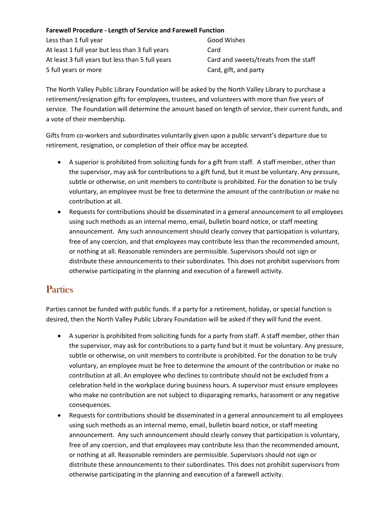#### **Farewell Procedure - Length of Service and Farewell Function**

Less than 1 full year Good Wishes At least 1 full year but less than 3 full years Card At least 3 full years but less than 5 full years Card and sweets/treats from the staff 5 full years or more Card, gift, and party

The North Valley Public Library Foundation will be asked by the North Valley Library to purchase a retirement/resignation gifts for employees, trustees, and volunteers with more than five years of service. The Foundation will determine the amount based on length of service, their current funds, and a vote of their membership.

Gifts from co-workers and subordinates voluntarily given upon a public servant's departure due to retirement, resignation, or completion of their office may be accepted.

- A superior is prohibited from soliciting funds for a gift from staff. A staff member, other than the supervisor, may ask for contributions to a gift fund, but it must be voluntary. Any pressure, subtle or otherwise, on unit members to contribute is prohibited. For the donation to be truly voluntary, an employee must be free to determine the amount of the contribution or make no contribution at all.
- Requests for contributions should be disseminated in a general announcement to all employees using such methods as an internal memo, email, bulletin board notice, or staff meeting announcement. Any such announcement should clearly convey that participation is voluntary, free of any coercion, and that employees may contribute less than the recommended amount, or nothing at all. Reasonable reminders are permissible. Supervisors should not sign or distribute these announcements to their subordinates. This does not prohibit supervisors from otherwise participating in the planning and execution of a farewell activity.

## **Parties**

Parties cannot be funded with public funds. If a party for a retirement, holiday, or special function is desired, then the North Valley Public Library Foundation will be asked if they will fund the event.

- A superior is prohibited from soliciting funds for a party from staff. A staff member, other than the supervisor, may ask for contributions to a party fund but it must be voluntary. Any pressure, subtle or otherwise, on unit members to contribute is prohibited. For the donation to be truly voluntary, an employee must be free to determine the amount of the contribution or make no contribution at all. An employee who declines to contribute should not be excluded from a celebration held in the workplace during business hours. A supervisor must ensure employees who make no contribution are not subject to disparaging remarks, harassment or any negative consequences.
- Requests for contributions should be disseminated in a general announcement to all employees using such methods as an internal memo, email, bulletin board notice, or staff meeting announcement. Any such announcement should clearly convey that participation is voluntary, free of any coercion, and that employees may contribute less than the recommended amount, or nothing at all. Reasonable reminders are permissible. Supervisors should not sign or distribute these announcements to their subordinates. This does not prohibit supervisors from otherwise participating in the planning and execution of a farewell activity.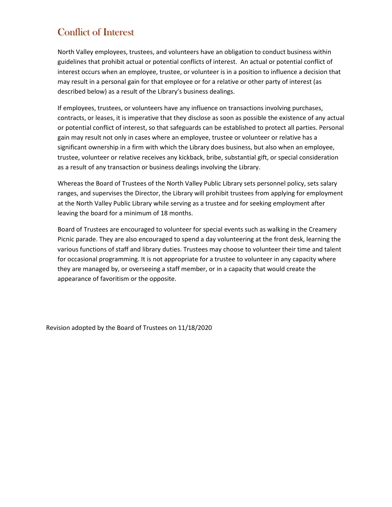# Conflict of Interest

North Valley employees, trustees, and volunteers have an obligation to conduct business within guidelines that prohibit actual or potential conflicts of interest. An actual or potential conflict of interest occurs when an employee, trustee, or volunteer is in a position to influence a decision that may result in a personal gain for that employee or for a relative or other party of interest (as described below) as a result of the Library's business dealings.

If employees, trustees, or volunteers have any influence on transactions involving purchases, contracts, or leases, it is imperative that they disclose as soon as possible the existence of any actual or potential conflict of interest, so that safeguards can be established to protect all parties. Personal gain may result not only in cases where an employee, trustee or volunteer or relative has a significant ownership in a firm with which the Library does business, but also when an employee, trustee, volunteer or relative receives any kickback, bribe, substantial gift, or special consideration as a result of any transaction or business dealings involving the Library.

Whereas the Board of Trustees of the North Valley Public Library sets personnel policy, sets salary ranges, and supervises the Director, the Library will prohibit trustees from applying for employment at the North Valley Public Library while serving as a trustee and for seeking employment after leaving the board for a minimum of 18 months.

Board of Trustees are encouraged to volunteer for special events such as walking in the Creamery Picnic parade. They are also encouraged to spend a day volunteering at the front desk, learning the various functions of staff and library duties. Trustees may choose to volunteer their time and talent for occasional programming. It is not appropriate for a trustee to volunteer in any capacity where they are managed by, or overseeing a staff member, or in a capacity that would create the appearance of favoritism or the opposite.

Revision adopted by the Board of Trustees on 11/18/2020